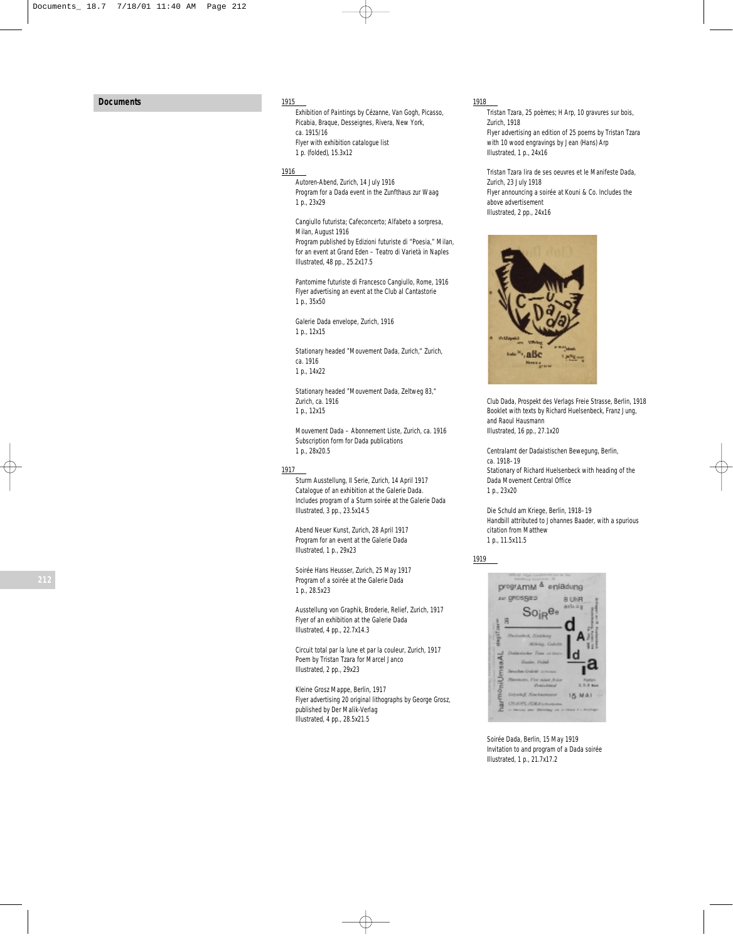# **Documents**

#### 1915

*Exhibition of Paintings by Cézanne, Van Gogh, Picasso, Picabia, Braque, Desseignes, Rivera*, New York, ca. 1915/16 Flyer with exhibition catalogue list 1 p. (folded), 15.3x12

## 1916

*Autoren-Abend*, Zurich, 14 July 1916 Program for a Dada event in the Zunfthaus zur Waag 1 p., 23x29

*Cangiullo futurista; Cafeconcerto; Alfabeto a sorpresa*, Milan, August 1916

Program published by Edizioni futuriste di "Poesia," Milan, for an event at Grand Eden – Teatro di Varietà in Naples Illustrated, 48 pp., 25.2x17.5

*Pantomime futuriste di Francesco Cangiullo*, Rome, 1916 Flyer advertising an event at the Club al Cantastorie 1 p., 35x50

*Galerie Dada* envelope, Zurich, 1916 1 p., 12x15

Stationary headed "Mouvement Dada, Zurich," Zurich, ca. 1916 1 p., 14x22

Stationary headed "Mouvement Dada, Zeltweg 83," Zurich, ca. 1916 1 p., 12x15

*Mouvement Dada – Abonnement Liste,* Zurich, ca. 1916 Subscription form for Dada publications 1 p., 28x20.5

## 1917

*Sturm Ausstellung*, *II Serie*, Zurich, 14 April 1917 Catalogue of an exhibition at the Galerie Dada. Includes program of a Sturm soirée at the Galerie Dada Illustrated, 3 pp., 23.5x14.5

*Abend Neuer Kunst*, Zurich, 28 April 1917 Program for an event at the Galerie Dada Illustrated, 1 p., 29x23

*Soirée Hans Heusser*, Zurich, 25 May 1917 Program of a soirée at the Galerie Dada 1 p., 28.5x23

*Ausstellung von Graphik, Broderie, Relief*, Zurich, 1917 Flyer of an exhibition at the Galerie Dada Illustrated, 4 pp., 22.7x14.3

*Circuit total par la lune et par la couleur*, Zurich, 1917 Poem by Tristan Tzara for Marcel Janco Illustrated, 2 pp., 29x23

*Kleine Grosz Mappe*, Berlin, 1917 Flyer advertising 20 original lithographs by George Grosz, published by Der Malik-Verlag Illustrated, 4 pp., 28.5x21.5

#### 1918

*Tristan Tzara, 25 poèmes; H Arp, 10 gravures sur bois*, Zurich, 1918 Flyer advertising an edition of 25 poems by Tristan Tzara with 10 wood engravings by Jean (Hans) Arp Illustrated, 1 p., 24x16

*Tristan Tzara lira de ses oeuvres et le Manifeste Dada*, Zurich, 23 July 1918 Flyer announcing a soirée at Kouni & Co. Includes the above advertisement Illustrated, 2 pp., 24x16



*Club Dada, Prospekt des Verlags Freie Strasse*, Berlin, 1918 Booklet with texts by Richard Huelsenbeck, Franz Jung, and Raoul Hausmann Illustrated, 16 pp., 27.1x20

*Centralamt der Dadaistischen Bewegung*, Berlin, ca. 1918–19 Stationary of Richard Huelsenbeck with heading of the Dada Movement Central Office 1 p., 23x20

*Die Schuld am Kriege*, Berlin, 1918–19 Handbill attributed to Johannes Baader, with a spurious citation from Matthew 1 p., 11.5x11.5

1919



*Soirée Dada*, Berlin, 15 May 1919 Invitation to and program of a Dada soirée Illustrated, 1 p., 21.7x17.2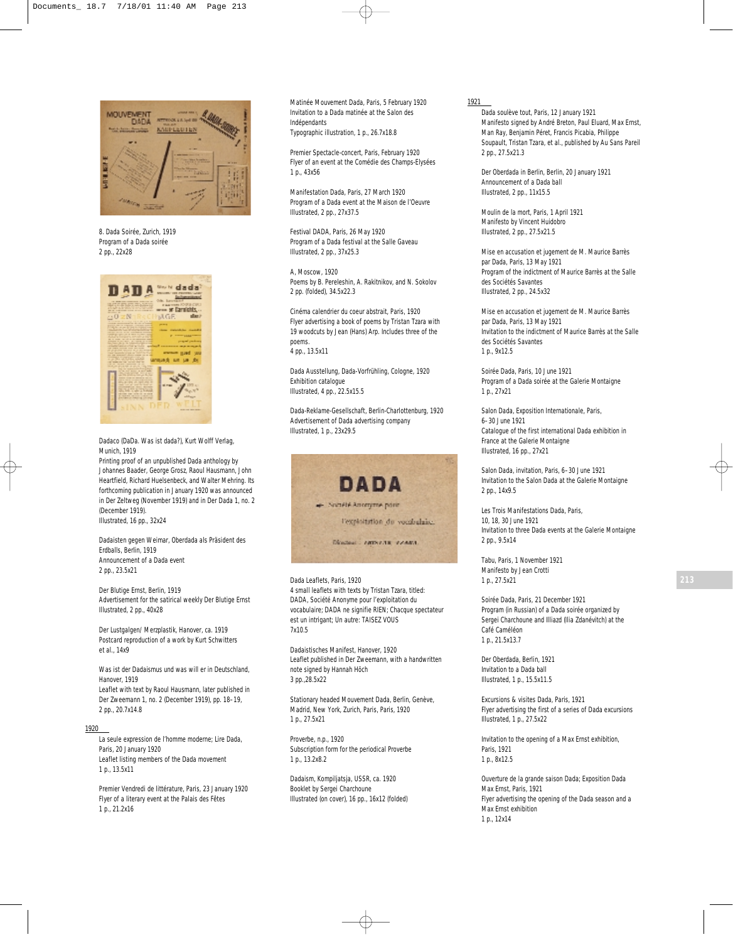

*8. Dada Soirée*, Zurich, 1919 Program of a Dada soirée 2 pp., 22x28



*Dadaco (DaDa. Was ist dada?)*, Kurt Wolff Verlag, Munich, 1919

Printing proof of an unpublished Dada anthology by Johannes Baader, George Grosz, Raoul Hausmann, John Heartfield, Richard Huelsenbeck, and Walter Mehring. Its forthcoming publication in January 1920 was announced in *Der Zeltweg* (November 1919) and in *Der Dada* 1, no. 2 (December 1919). Illustrated, 16 pp., 32x24

*Dadaisten gegen Weimar, Oberdada als Präsident des Erdballs,* Berlin, 1919 Announcement of a Dada event 2 pp., 23.5x21

*Der Blutige Ernst*, Berlin, 1919 Advertisement for the satirical weekly *Der Blutige Ernst* Illustrated, 2 pp., 40x28

*Der Lustgalgen/ Merzplastik*, Hanover, ca. 1919 Postcard reproduction of a work by Kurt Schwitters et al., 14x9

*Was ist der Dadaismus und was will er in Deutschland*, Hanover, 1919 Leaflet with text by Raoul Hausmann, later published in *Der Zweemann* 1, no. 2 (December 1919), pp. 18–19, 2 pp., 20.7x14.8

## 1920

*La seule expression de l'homme moderne; Lire Dada*, Paris, 20 January 1920 Leaflet listing members of the Dada movement 1 p., 13.5x11

*Premier Vendredi de littérature*, Paris, 23 January 1920 Flyer of a literary event at the Palais des Fêtes 1 p., 21.2x16

*Matinée Mouvement Dada,* Paris, 5 February 1920 Invitation to a Dada matinée at the Salon des Indépendants Typographic illustration, 1 p., 26.7x18.8

*Premier Spectacle-concert,* Paris, February 1920 Flyer of an event at the Comédie des Champs-Elysées 1 p., 43x56

*Manifestation Dada*, Paris, 27 March 1920 Program of a Dada event at the Maison de l'Oeuvre Illustrated, 2 pp., 27x37.5

*Festival DADA*, Paris, 26 May 1920 Program of a Dada festival at the Salle Gaveau Illustrated, 2 pp., 37x25.3

*A*, Moscow, 1920 Poems by B. Pereleshin, A. Rakitnikov, and N. Sokolov 2 pp. (folded), 34.5x22.3

*Cinéma calendrier du coeur abstrait*, Paris, 1920 Flyer advertising a book of poems by Tristan Tzara with 19 woodcuts by Jean (Hans) Arp. Includes three of the poems. 4 pp., 13.5x11

*Dada Ausstellung, Dada-Vorfrühling*, Cologne, 1920 Exhibition catalogue Illustrated, 4 pp., 22.5x15.5

*Dada-Reklame-Gesellschaft*, Berlin-Charlottenburg, 1920 Advertisement of Dada advertising company Illustrated, 1 p., 23x29.5



Dada Leaflets*,* Paris, 1920 4 small leaflets with texts by Tristan Tzara, titled: *DADA, Société Anonyme pour l'exploitation du vocabulaire*; *DADA ne signifie RIEN*; *Chacque spectateur est un intrigant; Un autre: TAISEZ VOUS*  7x10.5

*Dadaistisches Manifest*, Hanover, 1920 Leaflet published in *Der Zweemann,* with a handwritten note signed by Hannah Höch 3 pp.,28.5x22

Stationary headed *Mouvement Dada, Berlin, Genève, Madrid, New York, Zurich, Paris,* Paris, 1920 1 p., 27.5x21

*Proverbe*, n.p., 1920 Subscription form for the periodical *Proverbe* 1 p., 13.2x8.2

*Dadaism, Kompiljatsja*, USSR, ca. 1920 Booklet by Sergei Charchoune Illustrated (on cover), 16 pp., 16x12 (folded)

#### 1921

*Dada soulève tout*, Paris, 12 January 1921 Manifesto signed by André Breton, Paul Eluard, Max Ernst, Man Ray, Benjamin Péret, Francis Picabia, Philippe Soupault, Tristan Tzara, et al., published by Au Sans Pareil 2 pp., 27.5x21.3

*Der Oberdada in Berlin*, Berlin, 20 January 1921 Announcement of a Dada ball Illustrated, 2 pp., 11x15.5

*Moulin de la mort*, Paris, 1 April 1921 Manifesto by Vincent Huidobro Illustrated, 2 pp., 27.5x21.5

*Mise en accusation et jugement de M. Maurice Barrès par Dada*, Paris, 13 May 1921 Program of the indictment of Maurice Barrès at the Salle des Sociétés Savantes Illustrated, 2 pp., 24.5x32

*Mise en accusation et jugement de M. Maurice Barrès par Dada*, Paris, 13 May 1921 Invitation to the indictment of Maurice Barrès at the Salle des Sociétés Savantes 1 p., 9x12.5

*Soirée Dada*, Paris, 10 June 1921 Program of a Dada soirée at the Galerie Montaigne 1 p., 27x21

*Salon Dada, Exposition Internationale*, Paris, 6–30 June 1921 Catalogue of the first international Dada exhibition in France at the Galerie Montaigne Illustrated, 16 pp., 27x21

*Salon Dada, invitation,* Paris, 6–30 June 1921 Invitation to the Salon Dada at the Galerie Montaigne 2 pp., 14x9.5

*Les Trois Manifestations Dada*, Paris, 10, 18, 30 June 1921 Invitation to three Dada events at the Galerie Montaigne 2 pp., 9.5x14

*Tabu*, Paris, 1 November 1921 Manifesto by Jean Crotti 1 p., 27.5x21

*Soirée Dada*, Paris, 21 December 1921 Program (in Russian) of a Dada soirée organized by Sergei Charchoune and Illiazd (Ilia Zdanévitch) at the Café Caméléon 1 p., 21.5x13.7

*Der Oberdada*, Berlin, 1921 Invitation to a Dada ball Illustrated, 1 p., 15.5x11.5

*Excursions & visites Dada*, Paris, 1921 Flyer advertising the first of a series of Dada excursions Illustrated, 1 p., 27.5x22

Invitation to the opening of a Max Ernst exhibition, Paris, 1921 1 p., 8x12.5

*Ouverture de la grande saison Dada; Exposition Dada Max Ernst*, Paris, 1921 Flyer advertising the opening of the Dada season and a Max Ernst exhibition 1 p., 12x14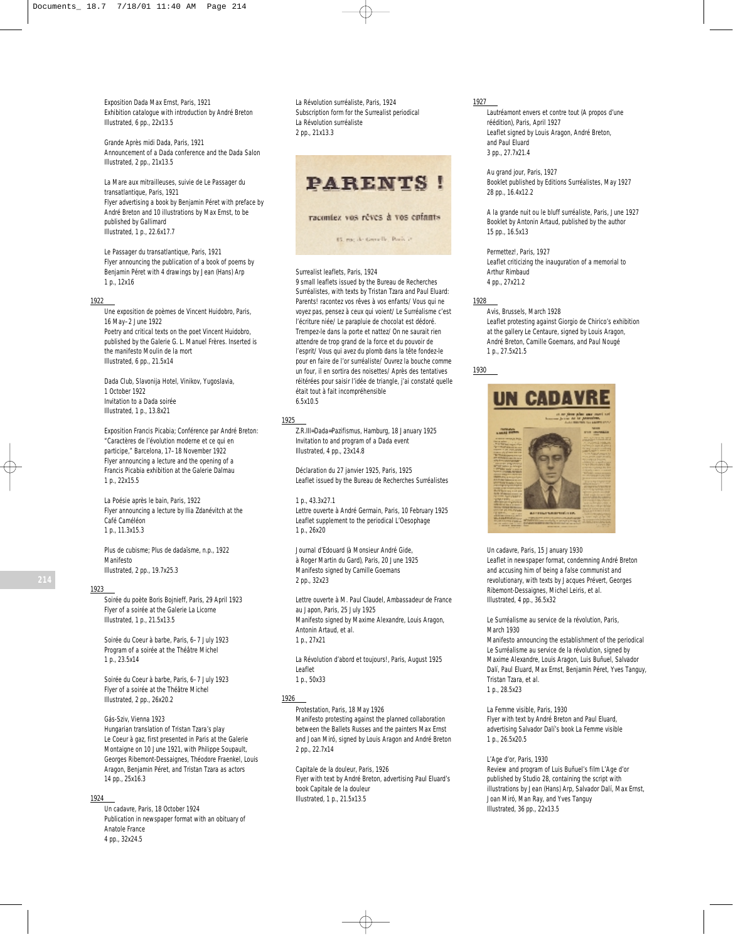*Exposition Dada Max Ernst*, Paris, 1921 Exhibition catalogue with introduction by André Breton Illustrated, 6 pp., 22x13.5

*Grande Après midi Dada*, Paris, 1921 Announcement of a Dada conference and the Dada Salon Illustrated, 2 pp., 21x13.5

*La Mare aux mitrailleuses, suivie de Le Passager du transatlantique*, Paris, 1921 Flyer advertising a book by Benjamin Péret with preface by André Breton and 10 illustrations by Max Ernst, to be published by Gallimard Illustrated, 1 p., 22.6x17.7

*Le Passager du transatlantique*, Paris, 1921 Flyer announcing the publication of a book of poems by Benjamin Péret with 4 drawings by Jean (Hans) Arp 1 p., 12x16

#### 1922

*Une exposition de poèmes de Vincent Huidobro*, Paris, 16 May–2 June 1922 Poetry and critical texts on the poet Vincent Huidobro, published by the Galerie G. L. Manuel Frères. Inserted is the manifesto *Moulin de la mort* Illustrated, 6 pp., 21.5x14

*Dada Club, Slavonija Hotel*, Vinikov, Yugoslavia, 1 October 1922 Invitation to a Dada soirée Illustrated, 1 p., 13.8x21

*Exposition Francis Picabia; Conférence par André Breton: "Caractères de l'évolution moderne et ce qui en participe,"* Barcelona, 17–18 November 1922 Flyer announcing a lecture and the opening of a Francis Picabia exhibition at the Galerie Dalmau 1 p., 22x15.5

*La Poésie après le bain*, Paris, 1922 Flyer announcing a lecture by Ilia Zdanévitch at the Café Caméléon 1 p., 11.3x15.3

*Plus de cubisme; Plus de dadaïsme*, n.p., 1922 Manifesto Illustrated, 2 pp., 19.7x25.3

#### 1923

*Soirée du poète Boris Bojnieff*, Paris, 29 April 1923 Flyer of a soirée at the Galerie La Licorne Illustrated, 1 p., 21.5x13.5

*Soirée du Coeur à barbe*, Paris, 6–7 July 1923 Program of a soirée at the Théâtre Michel 1 p., 23.5x14

*Soirée du Coeur à barbe*, Paris, 6–7 July 1923 Flyer of a soirée at the Théâtre Michel Illustrated, 2 pp., 26x20.2

*Gás-Sziv*, Vienna 1923 Hungarian translation of Tristan Tzara's play *Le Coeur à gaz*, first presented in Paris at the Galerie Montaigne on 10 June 1921, with Philippe Soupault, Georges Ribemont-Dessaignes, Théodore Fraenkel, Louis Aragon, Benjamin Péret, and Tristan Tzara as actors 14 pp., 25x16.3

# 1924

*Un cadavre*, Paris, 18 October 1924 Publication in newspaper format with an obituary of Anatole France 4 pp., 32x24.5

*La Révolution surréaliste*, Paris, 1924 Subscription form for the Surrealist periodical *La Révolution surréaliste* 2 pp., 21x13.3



# Surrealist leaflets, Paris, 1924

9 small leaflets issued by the Bureau de Recherches Surréalistes, with texts by Tristan Tzara and Paul Eluard: *Parents! racontez vos rêves à vos enfants/ Vous qui ne voyez pas, pensez à ceux qui voient/ Le Surréalisme c'est l'écriture niée/ Le parapluie de chocolat est dédoré. Trempez-le dans la porte et nattez/ On ne saurait rien attendre de trop grand de la force et du pouvoir de l'esprit/ Vous qui avez du plomb dans la tête fondez-le pour en faire de l'or surréaliste/ Ouvrez la bouche comme un four, il en sortira des noisettes/ Après des tentatives réitérées pour saisir l'idée de triangle, j'ai constaté quelle était tout à fait incompréhensible* 6.5x10.5

#### 1925

*Z.R.III=Dada=Pazifismus*, Hamburg, 18 January 1925 Invitation to and program of a Dada event Illustrated, 4 pp., 23x14.8

*Déclaration du 27 janvier 1925*, Paris, 1925 Leaflet issued by the Bureau de Recherches Surréalistes

### 1 p., 43.3x27.1

*Lettre ouverte à André Germain*, Paris, 10 February 1925 Leaflet supplement to the periodical *L'Oesophage* 1 p., 26x20

*Journal d'Edouard (à Monsieur André Gide, à Roger Martin du Gard)*, Paris, 20 June 1925 Manifesto signed by Camille Goemans 2 pp., 32x23

*Lettre ouverte à M. Paul Claudel, Ambassadeur de France au Japon*, Paris, 25 July 1925 Manifesto signed by Maxime Alexandre, Louis Aragon, Antonin Artaud, et al. 1 p., 27x21

*La Révolution d'abord et toujours!*, Paris, August 1925 Leaflet 1 p., 50x33

1926

*Protestation*, Paris, 18 May 1926 Manifesto protesting against the planned collaboration between the Ballets Russes and the painters Max Ernst and Joan Miró, signed by Louis Aragon and André Breton 2 pp., 22.7x14

*Capitale de la douleur*, Paris, 1926 Flyer with text by André Breton, advertising Paul Eluard's book *Capitale de la douleur* Illustrated, 1 p., 21.5x13.5

#### 1927

*Lautréamont envers et contre tout (A propos d'une réédition)*, Paris, April 1927 Leaflet signed by Louis Aragon, André Breton, and Paul Eluard 3 pp., 27.7x21.4

*Au grand jour*, Paris, 1927 Booklet published by Editions Surréalistes, May 1927 28 pp., 16.4x12.2

*A la grande nuit ou le bluff surréaliste*, Paris, June 1927 Booklet by Antonin Artaud, published by the author 15 pp., 16.5x13

*Permettez!*, Paris, 1927 Leaflet criticizing the inauguration of a memorial to Arthur Rimbaud 4 pp., 27x21.2

#### 1928

*Avis*, Brussels, March 1928 Leaflet protesting against Giorgio de Chirico's exhibition at the gallery Le Centaure, signed by Louis Aragon, André Breton, Camille Goemans, and Paul Nougé 1 p., 27.5x21.5

1930



*Un cadavre*, Paris, 15 January 1930 Leaflet in newspaper format, condemning André Breton and accusing him of being a false communist and revolutionary, with texts by Jacques Prévert, Georges Ribemont-Dessaignes, Michel Leiris, et al. Illustrated, 4 pp., 36.5x32

*Le Surréalisme au service de la révolution*, Paris, March 1930

Manifesto announcing the establishment of the periodical *Le Surréalisme au service de la révolution*, signed by Maxime Alexandre, Louis Aragon, Luis Buñuel, Salvador Dalí, Paul Eluard, Max Ernst, Benjamin Péret, Yves Tanguy, Tristan Tzara, et al. 1 p., 28.5x23

*La Femme visible*, Paris, 1930 Flyer with text by André Breton and Paul Eluard, advertising Salvador Dalí's book *La Femme visible* 1 p., 26.5x20.5

#### *L'Age d'or*, Paris, 1930

Review and program of Luis Buñuel's film *L'Age d'or* published by Studio 28, containing the script with illustrations by Jean (Hans) Arp, Salvador Dalí, Max Ernst, Joan Miró, Man Ray, and Yves Tanguy Illustrated, 36 pp., 22x13.5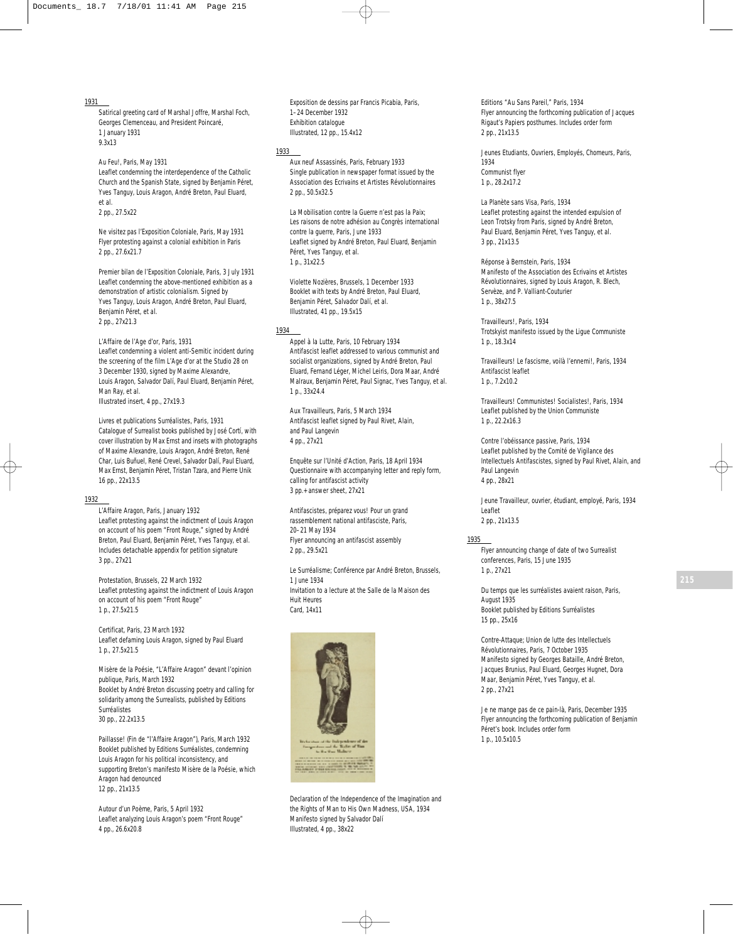### 1931

Satirical greeting card of Marshal Joffre, Marshal Foch, Georges Clemenceau, and President Poincaré, 1 January 1931 9.3x13

*Au Feu!*, Paris, May 1931 Leaflet condemning the interdependence of the Catholic Church and the Spanish State, signed by Benjamin Péret, Yves Tanguy, Louis Aragon, André Breton, Paul Eluard, et al.

2 pp., 27.5x22

*Ne visitez pas l'Exposition Coloniale*, Paris, May 1931 Flyer protesting against a colonial exhibition in Paris 2 pp., 27.6x21.7

*Premier bilan de l'Exposition Coloniale*, Paris, 3 July 1931 Leaflet condemning the above-mentioned exhibition as a demonstration of artistic colonialism. Signed by Yves Tanguy, Louis Aragon, André Breton, Paul Eluard, Benjamin Péret, et al. 2 pp., 27x21.3

*L'Affaire de l'Age d'or,* Paris, 1931 Leaflet condemning a violent anti-Semitic incident during the screening of the film *L'Age d'or* at the Studio 28 on 3 December 1930, signed by Maxime Alexandre, Louis Aragon, Salvador Dalí, Paul Eluard, Benjamin Péret, Man Ray, et al. Illustrated insert, 4 pp., 27x19.3

*Livres et publications Surréalistes,* Paris, 1931 Catalogue of Surrealist books published by José Cortí, with cover illustration by Max Ernst and insets with photographs of Maxime Alexandre, Louis Aragon, André Breton, René Char, Luis Buñuel, René Crevel, Salvador Dalí, Paul Eluard, Max Ernst, Benjamin Péret, Tristan Tzara, and Pierre Unik 16 pp., 22x13.5

# 1932

*L'Affaire Aragon*, Paris, January 1932 Leaflet protesting against the indictment of Louis Aragon on account of his poem "Front Rouge," signed by André Breton, Paul Eluard, Benjamin Péret, Yves Tanguy, et al. Includes detachable appendix for petition signature 3 pp., 27x21

*Protestation*, Brussels, 22 March 1932 Leaflet protesting against the indictment of Louis Aragon on account of his poem "Front Rouge" 1 p., 27.5x21.5

*Certificat*, Paris, 23 March 1932 Leaflet defaming Louis Aragon, signed by Paul Eluard 1 p., 27.5x21.5

*Misère de la Poésie, "L'Affaire Aragon" devant l'opinion publique*, Paris, March 1932 Booklet by André Breton discussing poetry and calling for solidarity among the Surrealists, published by Editions Surréalistes 30 pp., 22.2x13.5

*Paillasse! (Fin de "l'Affaire Aragon")*, Paris, March 1932 Booklet published by Editions Surréalistes, condemning Louis Aragon for his political inconsistency, and supporting Breton's manifesto *Misère de la Poésie*, which Aragon had denounced 12 pp., 21x13.5

*Autour d'un Poème,* Paris, 5 April 1932 Leaflet analyzing Louis Aragon's poem "Front Rouge" 4 pp., 26.6x20.8

*Exposition de dessins par Francis Picabia*, Paris, 1–24 December 1932 Exhibition catalogue Illustrated, 12 pp., 15.4x12

## 1933

*Aux neuf Assassinés,* Paris, February 1933 Single publication in newspaper format issued by the Association des Ecrivains et Artistes Révolutionnaires 2 pp., 50.5x32.5

*La Mobilisation contre la Guerre n'est pas la Paix; Les raisons de notre adhésion au Congrès international contre la guerre*, Paris, June 1933 Leaflet signed by André Breton, Paul Eluard, Benjamin Péret, Yves Tanguy, et al. 1 p., 31x22.5

*Violette Nozières*, Brussels, 1 December 1933 Booklet with texts by André Breton, Paul Eluard, Benjamin Péret, Salvador Dalí, et al. Illustrated, 41 pp., 19.5x15

#### 1934

*Appel à la Lutte*, Paris, 10 February 1934 Antifascist leaflet addressed to various communist and socialist organizations, signed by André Breton, Paul Eluard, Fernand Léger, Michel Leiris, Dora Maar, André Malraux, Benjamin Péret, Paul Signac, Yves Tanguy, et al. 1 p., 33x24.4

*Aux Travailleurs*, Paris, 5 March 1934 Antifascist leaflet signed by Paul Rivet, Alain, and Paul Langevin 4 pp., 27x21

*Enquête sur l'Unité d'Action*, Paris, 18 April 1934 Questionnaire with accompanying letter and reply form, calling for antifascist activity 3 pp.+ answer sheet, 27x21

*Antifascistes, préparez vous! Pour un grand rassemblement national antifasciste*, Paris, 20–21 May 1934 Flyer announcing an antifascist assembly 2 pp., 29.5x21

*Le Surréalisme; Conférence par André Breton*, Brussels, 1 June 1934 Invitation to a lecture at the Salle de la Maison des Huit Heures Card, 14x11



*Declaration of the Independence of the Imagination and the Rights of Man to His Own Madness*, USA, 1934 Manifesto signed by Salvador Dalí Illustrated, 4 pp., 38x22

*Editions "Au Sans Pareil,"* Paris, 1934 Flyer announcing the forthcoming publication of Jacques Rigaut's *Papiers posthumes*. Includes order form 2 pp., 21x13.5

*Jeunes Etudiants, Ouvriers, Employés, Chomeurs*, Paris, 1934 Communist flyer 1 p., 28.2x17.2

*La Planète sans Visa*, Paris, 1934 Leaflet protesting against the intended expulsion of Leon Trotsky from Paris, signed by André Breton, Paul Eluard, Benjamin Péret, Yves Tanguy, et al. 3 pp., 21x13.5

*Réponse à Bernstein*, Paris, 1934 Manifesto of the Association des Ecrivains et Artistes Révolutionnaires, signed by Louis Aragon, R. Blech, Servèze, and P. Valliant-Couturier 1 p., 38x27.5

*Travailleurs!*, Paris, 1934 Trotskyist manifesto issued by the Ligue Communiste 1 p., 18.3x14

*Travailleurs! Le fascisme, voilà l'ennemi!*, Paris, 1934 Antifascist leaflet 1 p., 7.2x10.2

*Travailleurs! Communistes! Socialistes!*, Paris, 1934 Leaflet published by the Union Communiste 1 p., 22.2x16.3

*Contre l'obéissance passive*, Paris, 1934 Leaflet published by the Comité de Vigilance des Intellectuels Antifascistes, signed by Paul Rivet, Alain, and Paul Langevin 4 pp., 28x21

*Jeune Travailleur, ouvrier, étudiant, employé*, Paris, 1934 Leaflet 2 pp., 21x13.5

#### 1935

Flyer announcing change of date of two Surrealist conferences, Paris, 15 June 1935 1 p., 27x21

*Du temps que les surréalistes avaient raison*, Paris, August 1935 Booklet published by Editions Surréalistes 15 pp., 25x16

*Contre-Attaque*; *Union de lutte des Intellectuels Révolutionnaires,* Paris, 7 October 1935 Manifesto signed by Georges Bataille, André Breton, Jacques Brunius, Paul Eluard, Georges Hugnet, Dora Maar, Benjamin Péret, Yves Tanguy, et al. 2 pp., 27x21

*Je ne mange pas de ce pain-là*, Paris, December 1935 Flyer announcing the forthcoming publication of Benjamin Péret's book. Includes order form 1 p., 10.5x10.5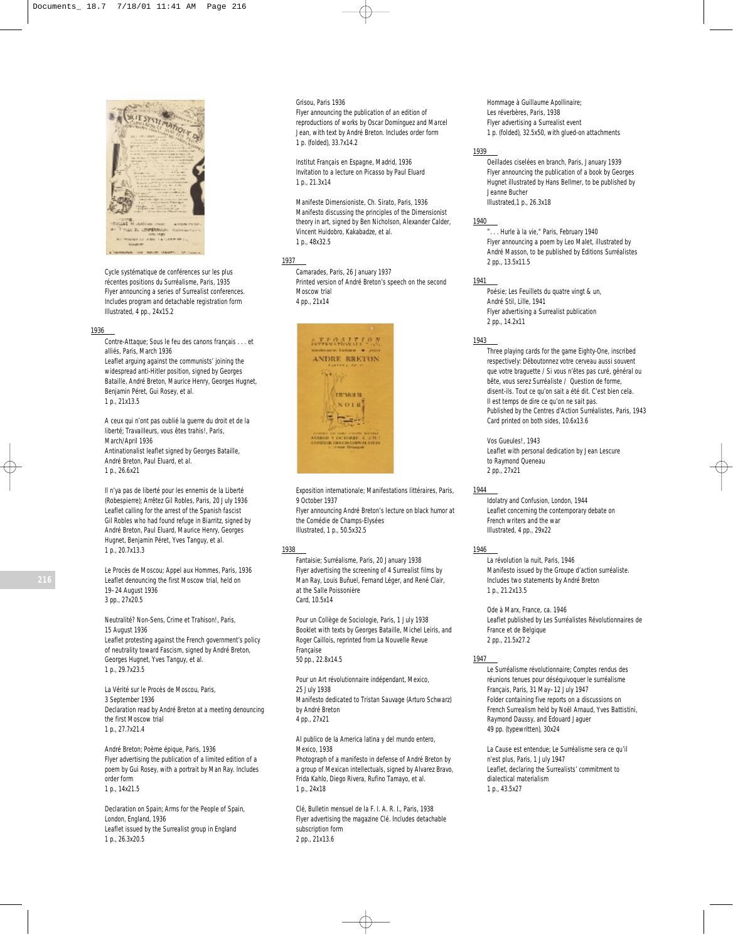

*Cycle systématique de conférences sur les plus récentes positions du Surréalisme*, Paris, 1935 Flyer announcing a series of Surrealist conferences. Includes program and detachable registration form Illustrated, 4 pp., 24x15.2

### 1936

*Contre-Attaque; Sous le feu des canons français . . . et alliés*, Paris, March 1936 Leaflet arguing against the communists' joining the widespread anti-Hitler position, signed by Georges Bataille, André Breton, Maurice Henry, Georges Hugnet, Benjamin Péret, Gui Rosey, et al.

1 p., 21x13.5

*A ceux qui n'ont pas oublié la guerre du droit et de la liberté; Travailleurs, vous êtes trahis!*, Paris, March/April 1936 Antinationalist leaflet signed by Georges Bataille, André Breton, Paul Eluard, et al. 1 p., 26.6x21

*Il n'ya pas de liberté pour les ennemis de la Liberté (Robespierre); Arrêtez Gil Robles*, Paris, 20 July 1936 Leaflet calling for the arrest of the Spanish fascist Gil Robles who had found refuge in Biarritz, signed by André Breton, Paul Eluard, Maurice Henry, Georges Hugnet, Benjamin Péret, Yves Tanguy, et al. 1 p., 20.7x13.3

*Le Procès de Moscou; Appel aux Hommes*, Paris, 1936 Leaflet denouncing the first Moscow trial, held on 19–24 August 1936 3 pp., 27x20.5

*Neutralité? Non-Sens, Crime et Trahison!*, Paris, 15 August 1936 Leaflet protesting against the French government's policy of neutrality toward Fascism, signed by André Breton, Georges Hugnet, Yves Tanguy, et al. 1 p., 29.7x23.5

*La Vérité sur le Procès de Moscou*, Paris, 3 September 1936 Declaration read by André Breton at a meeting denouncing the first Moscow trial 1 p., 27.7x21.4

*André Breton; Poème épique*, Paris, 1936 Flyer advertising the publication of a limited edition of a poem by Gui Rosey, with a portrait by Man Ray. Includes order form 1 p., 14x21.5

*Declaration on Spain; Arms for the People of Spain*, London, England, 1936 Leaflet issued by the Surrealist group in England 1 p., 26.3x20.5

#### *Grisou*, Paris 1936

Flyer announcing the publication of an edition of reproductions of works by Oscar Domínguez and Marcel Jean, with text by André Breton. Includes order form 1 p. (folded), 33.7x14.2

*Institut Français en Espagne*, Madrid, 1936 Invitation to a lecture on Picasso by Paul Eluard 1 p., 21.3x14

*Manifeste Dimensioniste*, Ch. Sirato, Paris, 1936 Manifesto discussing the principles of the Dimensionist theory in art, signed by Ben Nicholson, Alexander Calder, Vincent Huidobro, Kakabadze, et al. 1 p., 48x32.5

1937

*Camarades*, Paris, 26 January 1937 Printed version of André Breton's speech on the second Moscow trial 4 pp., 21x14



*Exposition internationale; Manifestations littéraires*, Paris, 9 October 1937 Flyer announcing André Breton's lecture on black humor at the Comédie de Champs-Elysées

Illustrated, 1 p., 50.5x32.5

# 1938

*Fantaisie; Surréalisme*, Paris, 20 January 1938 Flyer advertising the screening of 4 Surrealist films by Man Ray, Louis Buñuel, Fernand Léger, and René Clair, at the Salle Poissonière Card, 10.5x14

*Pour un Collège de Sociologie*, Paris, 1 July 1938 Booklet with texts by Georges Bataille, Michel Leiris, and Roger Caillois, reprinted from *La Nouvelle Revue Française* 50 pp., 22.8x14.5

*Pour un Art révolutionnaire indépendant*, Mexico, 25 July 1938 Manifesto dedicated to Tristan Sauvage (Arturo Schwarz) by André Breton 4 pp., 27x21

*Al publico de la America latina y del mundo entero*, Mexico, 1938 Photograph of a manifesto in defense of André Breton by

a group of Mexican intellectuals, signed by Alvarez Bravo, Frida Kahlo, Diego Rivera, Rufino Tamayo, et al. 1 p., 24x18

*Clé, Bulletin mensuel de la F. I. A. R. I.*, Paris, 1938 Flyer advertising the magazine *Clé.* Includes detachable subscription form 2 pp., 21x13.6

*Hommage à Guillaume Apollinaire*; Les réverbères, Paris, 1938 Flyer advertising a Surrealist event 1 p. (folded), 32.5x50, with glued-on attachments

## 1939

*Oeillades ciselées en branch*, Paris, January 1939 Flyer announcing the publication of a book by Georges Hugnet illustrated by Hans Bellmer, to be published by Jeanne Bucher Illustrated,1 p., 26.3x18

1940

". . . Hurle à la vie," Paris, February 1940 Flyer announcing a poem by Leo Malet, illustrated by André Masson, to be published by Editions Surréalistes 2 pp., 13.5x11.5

#### 1941

*Poésie; Les Feuillets du quatre vingt & un*, André Stil, Lille, 1941 Flyer advertising a Surrealist publication 2 pp., 14.2x11

#### 1943

Three playing cards for the game Eighty-One, inscribed respectively: *Déboutonnez votre cerveau aussi souvent que votre braguette / Si vous n'êtes pas curé, général ou bête, vous serez Surréaliste / Question de forme, disent-ils. Tout ce qu'on sait a été dit. C'est bien cela. Il est temps de dire ce qu'on ne sait pas.* Published by the Centres d'Action Surréalistes, Paris, 1943 Card printed on both sides, 10.6x13.6

*Vos Gueules!*, 1943 Leaflet with personal dedication by Jean Lescure to Raymond Queneau 2 pp., 27x21

## 1944

*Idolatry and Confusion*, London, 1944 Leaflet concerning the contemporary debate on French writers and the war Illustrated, 4 pp., 29x22

# 1946

*La révolution la nuit*, Paris, 1946 Manifesto issued by the Groupe d'action surréaliste. Includes two statements by André Breton 1 p., 21.2x13.5

*Ode à Marx*, France, ca. 1946 Leaflet published by Les Surréalistes Révolutionnaires de France et de Belgique 2 pp., 21.5x27.2

## 1947

*Le Surréalisme révolutionnaire*; *Comptes rendus des réunions tenues pour déséquivoquer le surréalisme Français,* Paris, 31 May–12 July 1947 Folder containing five reports on a discussions on French Surrealism held by Noël Arnaud, Yves Battistini, Raymond Daussy, and Edouard Jaguer 49 pp. (typewritten), 30x24

*La Cause est entendue*; *Le Surréalisme sera ce qu'il n'est plus,* Paris, 1 July 1947 Leaflet, declaring the Surrealists' commitment to dialectical materialism 1 p., 43.5x27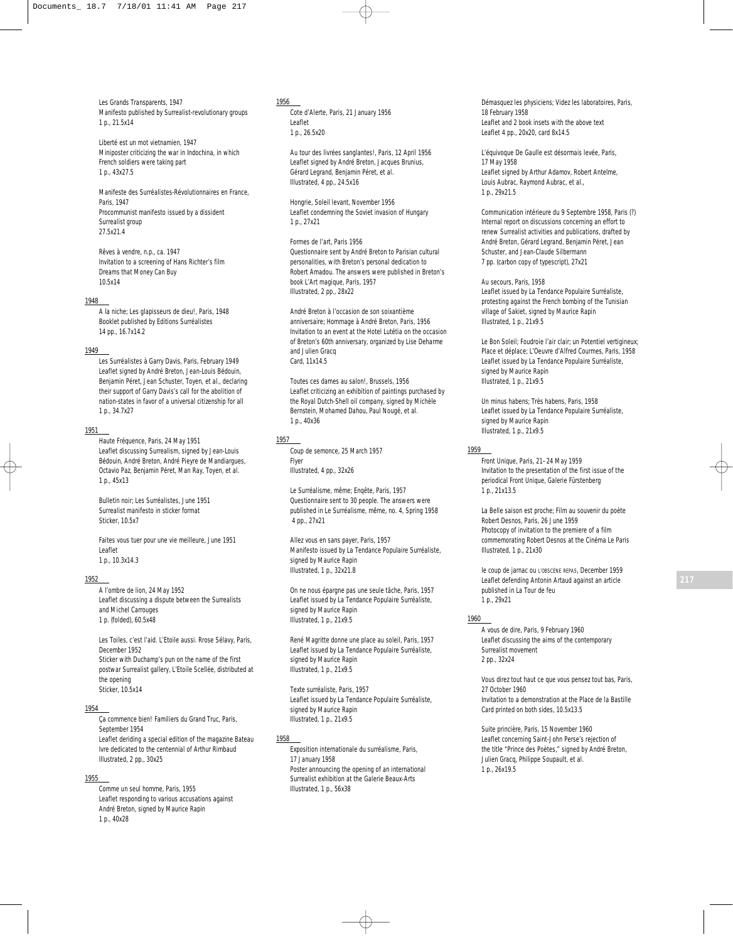*Les Grands Transparents*, 1947 Manifesto published by Surrealist-revolutionary groups 1 p., 21.5x14

*Liberté est un mot vietnamien*, 1947 Miniposter criticizing the war in Indochina, in which French soldiers were taking part 1 p., 43x27.5

*Manifeste des Surréalistes-Révolutionnaires en France*, Paris, 1947 Procommunist manifesto issued by a dissident Surrealist group 27.5x21.4

*Rêves à vendre*, n.p., ca. 1947 Invitation to a screening of Hans Richter's film *Dreams that Money Can Buy* 10.5x14

## 1948

*A la niche; Les glapisseurs de dieu!*, Paris, 1948 Booklet published by Editions Surréalistes 14 pp., 16.7x14.2

# 1949

*Les Surréalistes à Garry Davis*, Paris, February 1949 Leaflet signed by André Breton, Jean-Louis Bédouin, Benjamin Péret, Jean Schuster, Toyen, et al., declaring their support of Garry Davis's call for the abolition of nation-states in favor of a universal citizenship for all 1 p., 34.7x27

# 1951

*Haute Fréquence*, Paris, 24 May 1951 Leaflet discussing Surrealism, signed by Jean-Louis Bédouin, André Breton, André Pieyre de Mandiargues, Octavio Paz, Benjamin Péret, Man Ray, Toyen, et al. 1 p., 45x13

*Bulletin noir; Les Surréalistes*, June 1951 Surrealist manifesto in sticker format Sticker, 10.5x7

*Faites vous tuer pour une vie meilleure*, June 1951 Leaflet 1 p., 10.3x14.3

# 1952

*A l'ombre de lion,* 24 May 1952 Leaflet discussing a dispute between the Surrealists and Michel Carrouges 1 p. (folded), 60.5x48

*Les Toiles, c'est l'aid. L'Etoile aussi*. *Rrose Sélavy*, Paris, December 1952 Sticker with Duchamp's pun on the name of the first postwar Surrealist gallery, L'Etoile Scellée, distributed at the opening Sticker, 10.5x14

# 1954

*Ça commence bien! Familiers du Grand Truc*, Paris, September 1954 Leaflet deriding a special edition of the magazine *Bateau Ivre* dedicated to the centennial of Arthur Rimbaud Illustrated, 2 pp., 30x25

# 1955

*Comme un seul homme*, Paris, 1955 Leaflet responding to various accusations against André Breton, signed by Maurice Rapin 1 p., 40x28

## 1956

*Cote d'Alerte*, Paris, 21 January 1956 Leaflet 1 p., 26.5x20

*Au tour des livrées sanglantes!,* Paris, 12 April 1956 Leaflet signed by André Breton, Jacques Brunius, Gérard Legrand, Benjamin Péret, et al. Illustrated, 4 pp., 24.5x16

*Hongrie, Soleil levant*, November 1956 Leaflet condemning the Soviet invasion of Hungary 1 p., 27x21

*Formes de l'art*, Paris 1956 Questionnaire sent by André Breton to Parisian cultural personalities, with Breton's personal dedication to Robert Amadou. The answers were published in Breton's book *L'Art magique*, Paris, 1957 Illustrated, 2 pp., 28x22

*André Breton à l'occasion de son soixantième anniversaire; Hommage à André Breton*, Paris, 1956 Invitation to an event at the Hotel Lutétia on the occasion of Breton's 60th anniversary, organized by Lise Deharme and Julien Gracq Card, 11x14.5

*Toutes ces dames au salon!*, Brussels, 1956 Leaflet criticizing an exhibition of paintings purchased by the Royal Dutch-Shell oil company, signed by Michèle Bernstein, Mohamed Dahou, Paul Nougé, et al. 1 p., 40x36

# 1957

*Coup de semonce*, 25 March 1957 Flyer Illustrated, 4 pp., 32x26

*Le Surréalisme, même; Enqête*, Paris, 1957 Questionnaire sent to 30 people. The answers were published in *Le Surréalisme, même,* no. 4, Spring 1958 4 pp., 27x21

*Allez vous en sans payer*, Paris, 1957 Manifesto issued by *La Tendance Populaire Surréaliste*, signed by Maurice Rapin Illustrated, 1 p., 32x21.8

*On ne nous épargne pas une seule tâche*, Paris, 1957 Leaflet issued by *La Tendance Populaire Surréaliste*, signed by Maurice Rapin Illustrated, 1 p., 21x9.5

*René Magritte donne une place au soleil*, Paris, 1957 Leaflet issued by *La Tendance Populaire Surréaliste*, signed by Maurice Rapin Illustrated, 1 p., 21x9.5

*Texte surréaliste*, Paris, 1957 Leaflet issued by *La Tendance Populaire Surréaliste*, signed by Maurice Rapin Illustrated, 1 p., 21x9.5

# 1958

*Exposition internationale du surréalisme*, Paris, 17 January 1958 Poster announcing the opening of an international Surrealist exhibition at the Galerie Beaux-Arts Illustrated, 1 p., 56x38

Démasquez les physiciens; Videz les laboratoires, Paris, 18 February 1958 Leaflet and 2 book insets with the above text Leaflet 4 pp., 20x20, card 8x14.5

*L'équivoque De Gaulle est désormais levée*, Paris, 17 May 1958 Leaflet signed by Arthur Adamov, Robert Antelme, Louis Aubrac, Raymond Aubrac, et al., 1 p., 29x21.5

*Communication intérieure du 9 Septembre 1958,* Paris (?) Internal report on discussions concerning an effort to renew Surrealist activities and publications, drafted by André Breton, Gérard Legrand, Benjamin Péret, Jean Schuster, and Jean-Claude Silbermann 7 pp. (carbon copy of typescript), 27x21

*Au secours*, Paris, 1958 Leaflet issued by *La Tendance Populaire Surréaliste*, protesting against the French bombing of the Tunisian village of Sakiet, signed by Maurice Rapin Illustrated, 1 p., 21x9.5

*Le Bon Soleil; Foudroie l'air clair; un Potentiel vertigineux; Place et déplace; L'Oeuvre d'Alfred Courmes*, Paris, 1958 Leaflet issued by *La Tendance Populaire Surréaliste*, signed by Maurice Rapin Illustrated, 1 p., 21x9.5

*Un minus habens; Très habens*, Paris, 1958 Leaflet issued by *La Tendance Populaire Surréaliste*, signed by Maurice Rapin Illustrated, 1 p., 21x9.5

#### 1959

*Front Unique,* Paris, 21–24 May 1959 Invitation to the presentation of the first issue of the periodical *Front Unique*, Galerie Fürstenberg 1 p., 21x13.5

*La Belle saison est proche; Film au souvenir du poète Robert Desnos*, Paris, 26 June 1959 Photocopy of invitation to the premiere of a film commemorating Robert Desnos at the Cinéma Le Paris Illustrated, 1 p., 21x30

*le coup de jarnac ou L'OBSCÈNE REPAS*, December 1959 Leaflet defending Antonin Artaud against an article published in *La Tour de feu* 1 p., 29x21

## 1960

*A vous de dire,* Paris, 9 February 1960 Leaflet discussing the aims of the contemporary Surrealist movement 2 pp., 32x24

*Vous direz tout haut ce que vous pensez tout bas*, Paris, 27 October 1960 Invitation to a demonstration at the Place de la Bastille Card printed on both sides, 10.5x13.5

*Suite princière*, Paris, 15 November 1960 Leaflet concerning Saint-John Perse's rejection of the title "Prince des Poètes," signed by André Breton, Julien Gracq, Philippe Soupault, et al. 1 p., 26x19.5